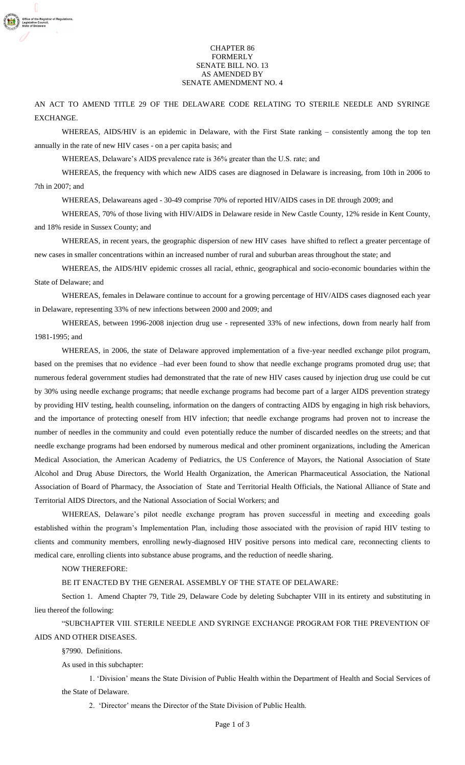## CHAPTER 86 FORMERLY SENATE BILL NO. 13 AS AMENDED BY SENATE AMENDMENT NO. 4

AN ACT TO AMEND TITLE 29 OF THE DELAWARE CODE RELATING TO STERILE NEEDLE AND SYRINGE EXCHANGE.

WHEREAS, AIDS/HIV is an epidemic in Delaware, with the First State ranking – consistently among the top ten annually in the rate of new HIV cases - on a per capita basis; and

WHEREAS, Delaware's AIDS prevalence rate is 36% greater than the U.S. rate; and

WHEREAS, the frequency with which new AIDS cases are diagnosed in Delaware is increasing, from 10th in 2006 to 7th in 2007; and

WHEREAS, Delawareans aged - 30-49 comprise 70% of reported HIV/AIDS cases in DE through 2009; and

WHEREAS, 70% of those living with HIV/AIDS in Delaware reside in New Castle County, 12% reside in Kent County, and 18% reside in Sussex County; and

WHEREAS, in recent years, the geographic dispersion of new HIV cases have shifted to reflect a greater percentage of new cases in smaller concentrations within an increased number of rural and suburban areas throughout the state; and

WHEREAS, the AIDS/HIV epidemic crosses all racial, ethnic, geographical and socio-economic boundaries within the State of Delaware; and

WHEREAS, females in Delaware continue to account for a growing percentage of HIV/AIDS cases diagnosed each year in Delaware, representing 33% of new infections between 2000 and 2009; and

WHEREAS, between 1996-2008 injection drug use - represented 33% of new infections, down from nearly half from 1981-1995; and

WHEREAS, in 2006, the state of Delaware approved implementation of a five-year needled exchange pilot program, based on the premises that no evidence –had ever been found to show that needle exchange programs promoted drug use; that numerous federal government studies had demonstrated that the rate of new HIV cases caused by injection drug use could be cut by 30% using needle exchange programs; that needle exchange programs had become part of a larger AIDS prevention strategy by providing HIV testing, health counseling, information on the dangers of contracting AIDS by engaging in high risk behaviors, and the importance of protecting oneself from HIV infection; that needle exchange programs had proven not to increase the number of needles in the community and could even potentially reduce the number of discarded needles on the streets; and that needle exchange programs had been endorsed by numerous medical and other prominent organizations, including the American Medical Association, the American Academy of Pediatrics, the US Conference of Mayors, the National Association of State Alcohol and Drug Abuse Directors, the World Health Organization, the American Pharmaceutical Association, the National Association of Board of Pharmacy, the Association of State and Territorial Health Officials, the National Alliance of State and Territorial AIDS Directors, and the National Association of Social Workers; and

WHEREAS, Delaware's pilot needle exchange program has proven successful in meeting and exceeding goals established within the program"s Implementation Plan, including those associated with the provision of rapid HIV testing to clients and community members, enrolling newly-diagnosed HIV positive persons into medical care, reconnecting clients to medical care, enrolling clients into substance abuse programs, and the reduction of needle sharing.

NOW THEREFORE:

BE IT ENACTED BY THE GENERAL ASSEMBLY OF THE STATE OF DELAWARE:

Section 1. Amend Chapter 79, Title 29, Delaware Code by deleting Subchapter VIII in its entirety and substituting in lieu thereof the following:

"SUBCHAPTER VIII. STERILE NEEDLE AND SYRINGE EXCHANGE PROGRAM FOR THE PREVENTION OF AIDS AND OTHER DISEASES.

§7990. Definitions.

As used in this subchapter:

1. "Division" means the State Division of Public Health within the Department of Health and Social Services of the State of Delaware.

2. 'Director' means the Director of the State Division of Public Health.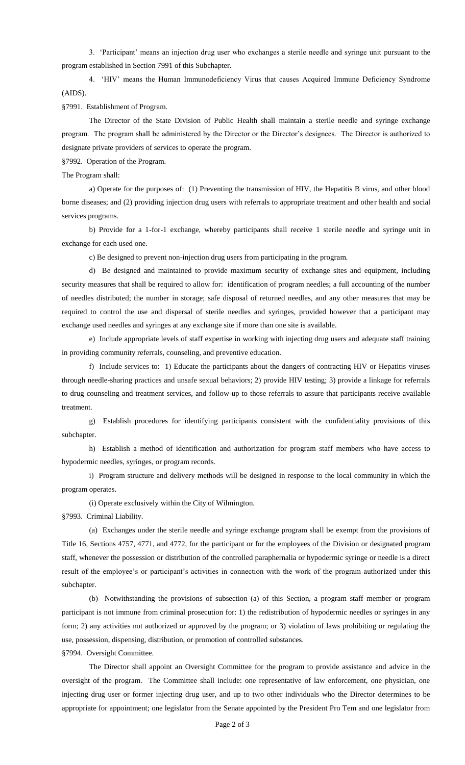3. "Participant" means an injection drug user who exchanges a sterile needle and syringe unit pursuant to the program established in Section 7991 of this Subchapter.

4. "HIV" means the Human Immunodeficiency Virus that causes Acquired Immune Deficiency Syndrome (AIDS).

§7991. Establishment of Program.

The Director of the State Division of Public Health shall maintain a sterile needle and syringe exchange program. The program shall be administered by the Director or the Director's designees. The Director is authorized to designate private providers of services to operate the program.

§7992. Operation of the Program.

The Program shall:

a) Operate for the purposes of: (1) Preventing the transmission of HIV, the Hepatitis B virus, and other blood borne diseases; and (2) providing injection drug users with referrals to appropriate treatment and other health and social services programs.

b) Provide for a 1-for-1 exchange, whereby participants shall receive 1 sterile needle and syringe unit in exchange for each used one.

c) Be designed to prevent non-injection drug users from participating in the program.

d) Be designed and maintained to provide maximum security of exchange sites and equipment, including security measures that shall be required to allow for: identification of program needles; a full accounting of the number of needles distributed; the number in storage; safe disposal of returned needles, and any other measures that may be required to control the use and dispersal of sterile needles and syringes, provided however that a participant may exchange used needles and syringes at any exchange site if more than one site is available.

e) Include appropriate levels of staff expertise in working with injecting drug users and adequate staff training in providing community referrals, counseling, and preventive education.

f) Include services to: 1) Educate the participants about the dangers of contracting HIV or Hepatitis viruses through needle-sharing practices and unsafe sexual behaviors; 2) provide HIV testing; 3) provide a linkage for referrals to drug counseling and treatment services, and follow-up to those referrals to assure that participants receive available treatment.

g) Establish procedures for identifying participants consistent with the confidentiality provisions of this subchapter.

h) Establish a method of identification and authorization for program staff members who have access to hypodermic needles, syringes, or program records.

i) Program structure and delivery methods will be designed in response to the local community in which the program operates.

(i) Operate exclusively within the City of Wilmington.

§7993. Criminal Liability.

(a) Exchanges under the sterile needle and syringe exchange program shall be exempt from the provisions of Title 16, Sections 4757, 4771, and 4772, for the participant or for the employees of the Division or designated program staff, whenever the possession or distribution of the controlled paraphernalia or hypodermic syringe or needle is a direct result of the employee's or participant's activities in connection with the work of the program authorized under this subchapter.

(b) Notwithstanding the provisions of subsection (a) of this Section, a program staff member or program participant is not immune from criminal prosecution for: 1) the redistribution of hypodermic needles or syringes in any form; 2) any activities not authorized or approved by the program; or 3) violation of laws prohibiting or regulating the use, possession, dispensing, distribution, or promotion of controlled substances.

§7994. Oversight Committee.

The Director shall appoint an Oversight Committee for the program to provide assistance and advice in the oversight of the program. The Committee shall include: one representative of law enforcement, one physician, one injecting drug user or former injecting drug user, and up to two other individuals who the Director determines to be appropriate for appointment; one legislator from the Senate appointed by the President Pro Tem and one legislator from